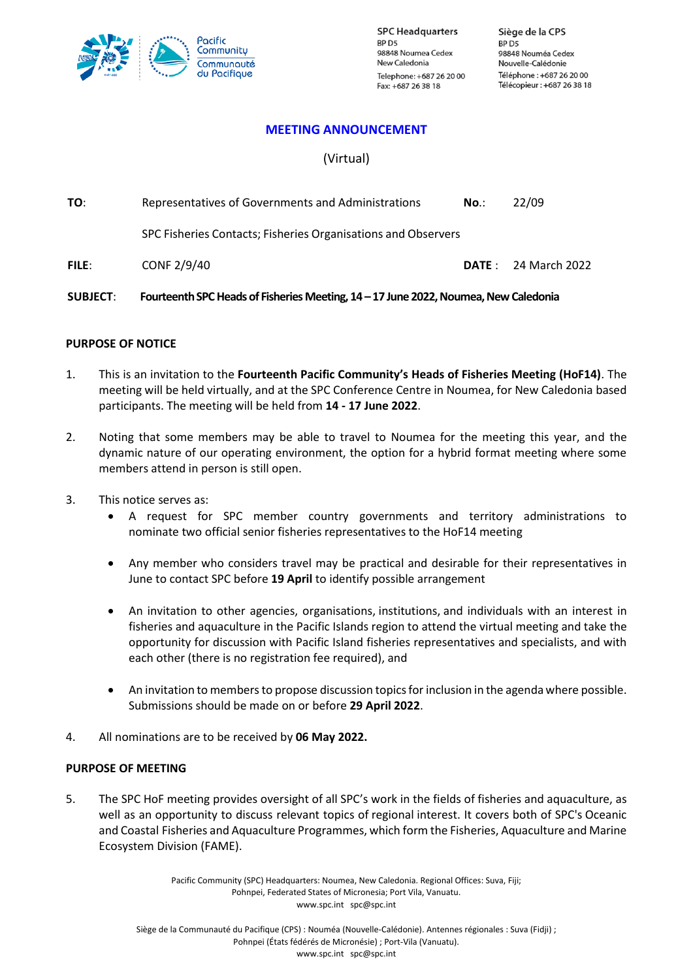

**SPC Headquarters** BP<sub>D5</sub> 98848 Noumea Cedex New Caledonia Telephone: +687 26 20 00 Fax: +687 26 38 18

Siège de la CPS BP<sub>D5</sub> 98848 Nouméa Cedex Nouvelle-Calédonie Téléphone: +687 26 20 00 Télécopieur: +687 26 38 18

### **MEETING ANNOUNCEMENT**

# (Virtual)

| TO:          | Representatives of Governments and Administrations            | $No.$ : | 22/09                      |
|--------------|---------------------------------------------------------------|---------|----------------------------|
|              | SPC Fisheries Contacts; Fisheries Organisations and Observers |         |                            |
| <b>FILE:</b> | CONF 2/9/40                                                   |         | <b>DATE:</b> 24 March 2022 |

SUBJECT: Fourteenth SPC Heads of Fisheries Meeting, 14 - 17 June 2022, Noumea, New Caledonia

#### **PURPOSE OF NOTICE**

- 1. This is an invitation to the **Fourteenth Pacific Community's Heads of Fisheries Meeting (HoF14)**. The meeting will be held virtually, and at the SPC Conference Centre in Noumea, for New Caledonia based participants. The meeting will be held from **14 - 17 June 2022**.
- 2. Noting that some members may be able to travel to Noumea for the meeting this year, and the dynamic nature of our operating environment, the option for a hybrid format meeting where some members attend in person is still open.
- 3. This notice serves as:
	- A request for SPC member country governments and territory administrations to nominate two official senior fisheries representatives to the HoF14 meeting
	- Any member who considers travel may be practical and desirable for their representatives in June to contact SPC before **19 April** to identify possible arrangement
	- An invitation to other agencies, organisations, institutions, and individuals with an interest in fisheries and aquaculture in the Pacific Islands region to attend the virtual meeting and take the opportunity for discussion with Pacific Island fisheries representatives and specialists, and with each other (there is no registration fee required), and
	- An invitation to members to propose discussion topics for inclusion in the agenda where possible. Submissions should be made on or before **29 April 2022**.
- 4. All nominations are to be received by **06 May 2022.**

#### **PURPOSE OF MEETING**

5. The SPC HoF meeting provides oversight of all SPC's work in the fields of fisheries and aquaculture, as well as an opportunity to discuss relevant topics of regional interest. It covers both of SPC's Oceanic and Coastal Fisheries and Aquaculture Programmes, which form the Fisheries, Aquaculture and Marine Ecosystem Division (FAME).

> Pacific Community (SPC) Headquarters: Noumea, New Caledonia. Regional Offices: Suva, Fiji; Pohnpei, Federated States of Micronesia; Port Vila, Vanuatu. [www.spc.int](http://www.spc.int/) [spc@spc.int](mailto:spc@spc.int)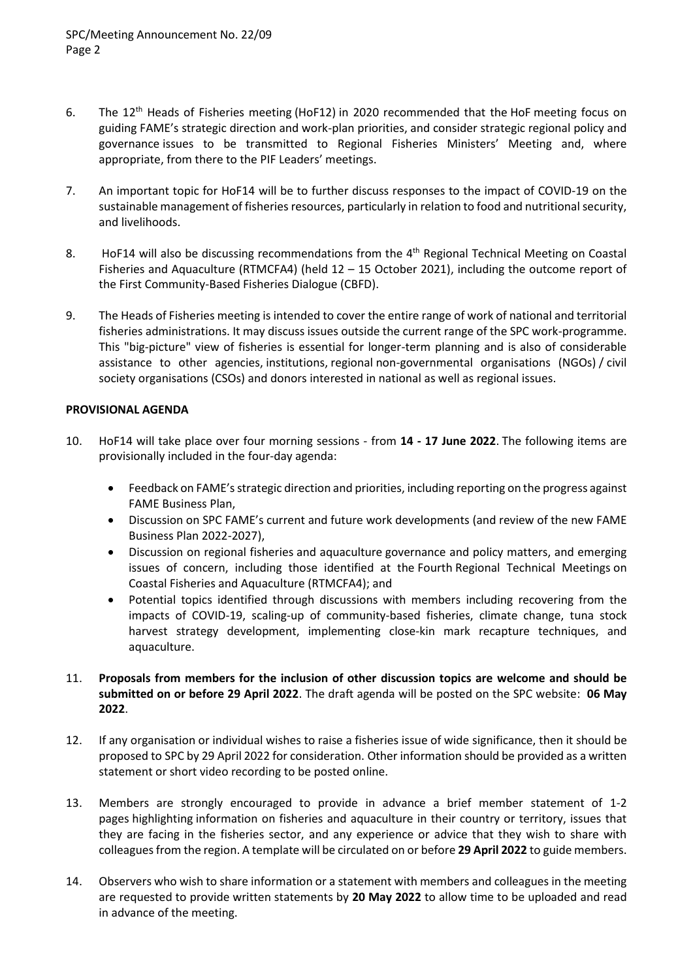- 6. The 12th Heads of Fisheries meeting (HoF12) in 2020 recommended that the HoF meeting focus on guiding FAME's strategic direction and work-plan priorities, and consider strategic regional policy and governance issues to be transmitted to Regional Fisheries Ministers' Meeting and, where appropriate, from there to the PIF Leaders' meetings.
- 7. An important topic for HoF14 will be to further discuss responses to the impact of COVID-19 on the sustainable management of fisheries resources, particularly in relation to food and nutritional security, and livelihoods.
- 8. HoF14 will also be discussing recommendations from the 4<sup>th</sup> Regional Technical Meeting on Coastal Fisheries and Aquaculture (RTMCFA4) (held 12 – 15 October 2021), including the outcome report of the First Community-Based Fisheries Dialogue (CBFD).
- 9. The Heads of Fisheries meeting is intended to cover the entire range of work of national and territorial fisheries administrations. It may discuss issues outside the current range of the SPC work-programme. This "big-picture" view of fisheries is essential for longer-term planning and is also of considerable assistance to other agencies, institutions, regional non-governmental organisations (NGOs) / civil society organisations (CSOs) and donors interested in national as well as regional issues.

## **PROVISIONAL AGENDA**

- 10. HoF14 will take place over four morning sessions from **14 - 17 June 2022**. The following items are provisionally included in the four-day agenda:
	- Feedback on FAME's strategic direction and priorities, including reporting on the progress against FAME Business Plan,
	- Discussion on SPC FAME's current and future work developments (and review of the new FAME Business Plan 2022-2027),
	- Discussion on regional fisheries and aquaculture governance and policy matters, and emerging issues of concern, including those identified at the Fourth Regional Technical Meetings on Coastal Fisheries and Aquaculture (RTMCFA4); and
	- Potential topics identified through discussions with members including recovering from the impacts of COVID-19, scaling-up of community-based fisheries, climate change, tuna stock harvest strategy development, implementing close-kin mark recapture techniques, and aquaculture.
- 11. **Proposals from members for the inclusion of other discussion topics are welcome and should be submitted on or before 29 April 2022**. The draft agenda will be posted on the SPC website: **06 May 2022**.
- 12. If any organisation or individual wishes to raise a fisheries issue of wide significance, then it should be proposed to SPC by 29 April 2022 for consideration. Other information should be provided as a written statement or short video recording to be posted online.
- 13. Members are strongly encouraged to provide in advance a brief member statement of 1-2 pages highlighting information on fisheries and aquaculture in their country or territory, issues that they are facing in the fisheries sector, and any experience or advice that they wish to share with colleagues from the region. A template will be circulated on or before **29 April 2022** to guide members.
- 14. Observers who wish to share information or a statement with members and colleagues in the meeting are requested to provide written statements by **20 May 2022** to allow time to be uploaded and read in advance of the meeting.